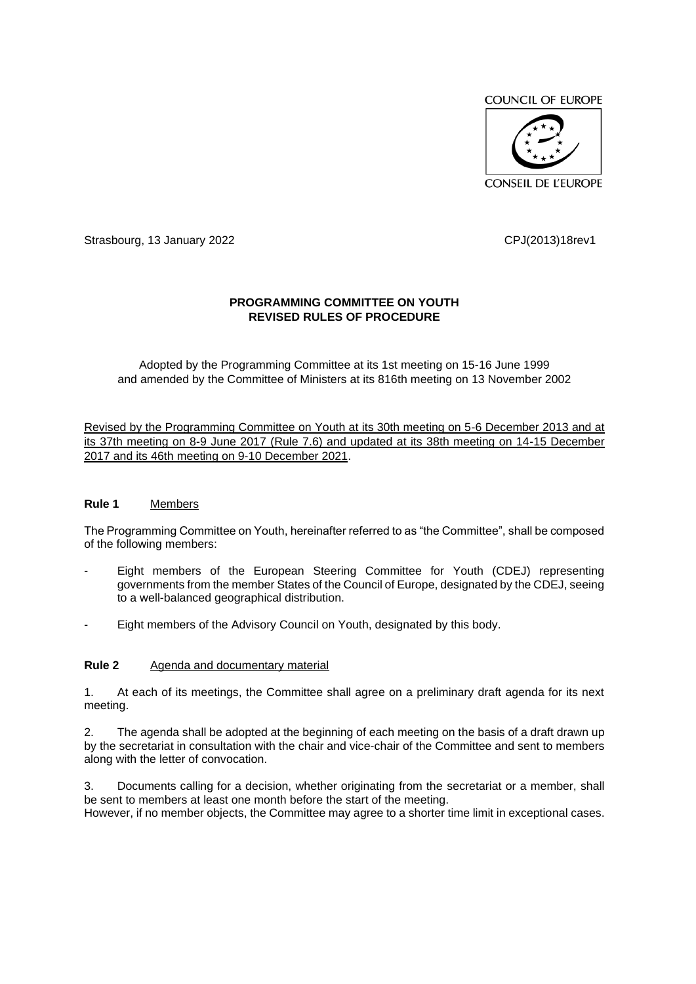

Strasbourg, 13 January 2022 CPJ(2013)18rev1

# **PROGRAMMING COMMITTEE ON YOUTH REVISED RULES OF PROCEDURE**

Adopted by the Programming Committee at its 1st meeting on 15-16 June 1999 and amended by the Committee of Ministers at its 816th meeting on 13 November 2002

Revised by the Programming Committee on Youth at its 30th meeting on 5-6 December 2013 and at its 37th meeting on 8-9 June 2017 (Rule 7.6) and updated at its 38th meeting on 14-15 December 2017 and its 46th meeting on 9-10 December 2021.

## **Rule 1** Members

The Programming Committee on Youth, hereinafter referred to as "the Committee", shall be composed of the following members:

- Eight members of the European Steering Committee for Youth (CDEJ) representing governments from the member States of the Council of Europe, designated by the CDEJ, seeing to a well-balanced geographical distribution.
- Eight members of the Advisory Council on Youth, designated by this body.

#### **Rule 2** Agenda and documentary material

1. At each of its meetings, the Committee shall agree on a preliminary draft agenda for its next meeting.

2. The agenda shall be adopted at the beginning of each meeting on the basis of a draft drawn up by the secretariat in consultation with the chair and vice-chair of the Committee and sent to members along with the letter of convocation.

3. Documents calling for a decision, whether originating from the secretariat or a member, shall be sent to members at least one month before the start of the meeting. However, if no member objects, the Committee may agree to a shorter time limit in exceptional cases.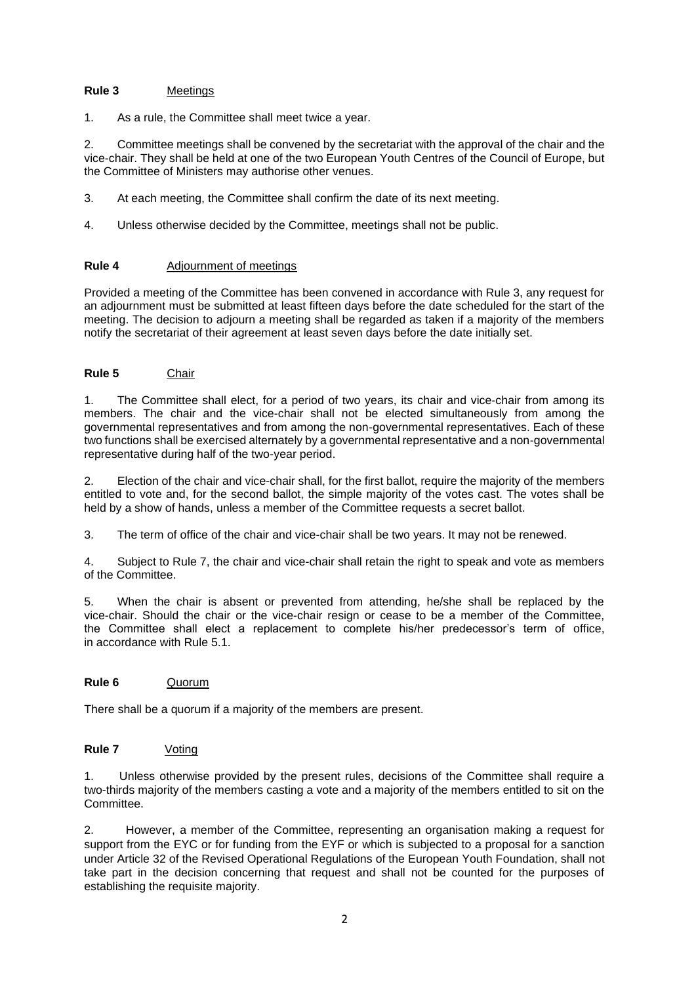### **Rule 3** Meetings

1. As a rule, the Committee shall meet twice a year.

2. Committee meetings shall be convened by the secretariat with the approval of the chair and the vice-chair. They shall be held at one of the two European Youth Centres of the Council of Europe, but the Committee of Ministers may authorise other venues.

- 3. At each meeting, the Committee shall confirm the date of its next meeting.
- 4. Unless otherwise decided by the Committee, meetings shall not be public.

### **Rule 4** Adjournment of meetings

Provided a meeting of the Committee has been convened in accordance with Rule 3, any request for an adjournment must be submitted at least fifteen days before the date scheduled for the start of the meeting. The decision to adjourn a meeting shall be regarded as taken if a majority of the members notify the secretariat of their agreement at least seven days before the date initially set.

## **Rule 5** Chair

1. The Committee shall elect, for a period of two years, its chair and vice-chair from among its members. The chair and the vice-chair shall not be elected simultaneously from among the governmental representatives and from among the non-governmental representatives. Each of these two functions shall be exercised alternately by a governmental representative and a non-governmental representative during half of the two-year period.

2. Election of the chair and vice-chair shall, for the first ballot, require the majority of the members entitled to vote and, for the second ballot, the simple majority of the votes cast. The votes shall be held by a show of hands, unless a member of the Committee requests a secret ballot.

3. The term of office of the chair and vice-chair shall be two years. It may not be renewed.

4. Subject to Rule 7, the chair and vice-chair shall retain the right to speak and vote as members of the Committee.

5. When the chair is absent or prevented from attending, he/she shall be replaced by the vice-chair. Should the chair or the vice-chair resign or cease to be a member of the Committee, the Committee shall elect a replacement to complete his/her predecessor's term of office, in accordance with Rule 5.1.

## **Rule 6** Quorum

There shall be a quorum if a majority of the members are present.

## **Rule 7** Voting

1. Unless otherwise provided by the present rules, decisions of the Committee shall require a two-thirds majority of the members casting a vote and a majority of the members entitled to sit on the Committee.

2. However, a member of the Committee, representing an organisation making a request for support from the EYC or for funding from the EYF or which is subjected to a proposal for a sanction under Article 32 of the Revised Operational Regulations of the European Youth Foundation, shall not take part in the decision concerning that request and shall not be counted for the purposes of establishing the requisite majority.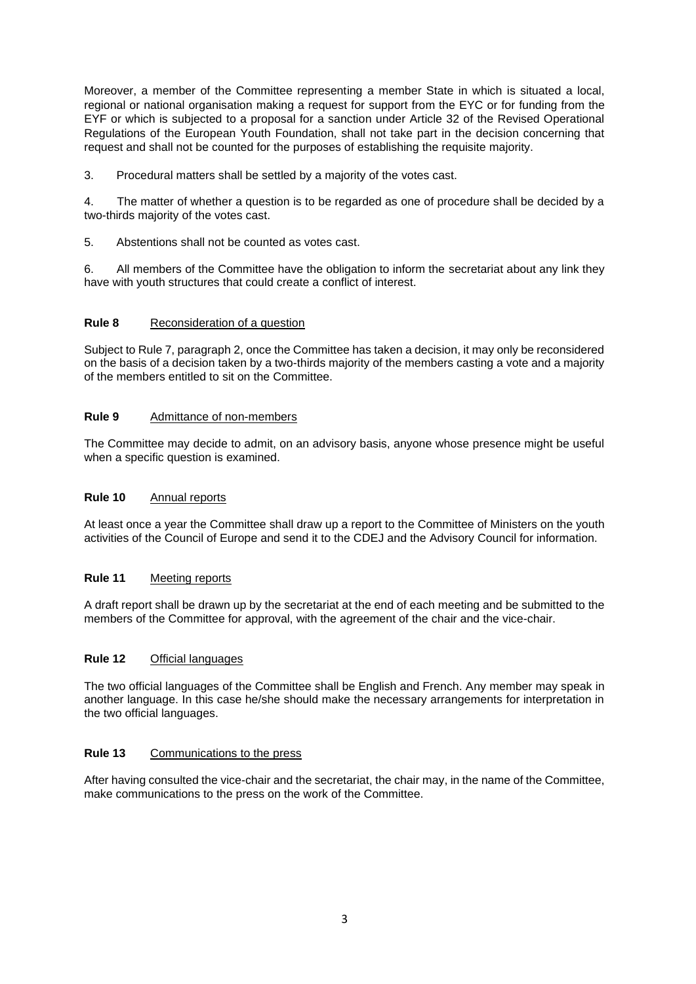Moreover, a member of the Committee representing a member State in which is situated a local, regional or national organisation making a request for support from the EYC or for funding from the EYF or which is subjected to a proposal for a sanction under Article 32 of the Revised Operational Regulations of the European Youth Foundation, shall not take part in the decision concerning that request and shall not be counted for the purposes of establishing the requisite majority.

3. Procedural matters shall be settled by a majority of the votes cast.

4. The matter of whether a question is to be regarded as one of procedure shall be decided by a two-thirds majority of the votes cast.

5. Abstentions shall not be counted as votes cast.

6. All members of the Committee have the obligation to inform the secretariat about any link they have with youth structures that could create a conflict of interest.

### **Rule 8** Reconsideration of a question

Subject to Rule 7, paragraph 2, once the Committee has taken a decision, it may only be reconsidered on the basis of a decision taken by a two-thirds majority of the members casting a vote and a majority of the members entitled to sit on the Committee.

### **Rule 9** Admittance of non-members

The Committee may decide to admit, on an advisory basis, anyone whose presence might be useful when a specific question is examined.

#### **Rule 10** Annual reports

At least once a year the Committee shall draw up a report to the Committee of Ministers on the youth activities of the Council of Europe and send it to the CDEJ and the Advisory Council for information.

#### **Rule 11** Meeting reports

A draft report shall be drawn up by the secretariat at the end of each meeting and be submitted to the members of the Committee for approval, with the agreement of the chair and the vice-chair.

#### **Rule 12** Official languages

The two official languages of the Committee shall be English and French. Any member may speak in another language. In this case he/she should make the necessary arrangements for interpretation in the two official languages.

### **Rule 13** Communications to the press

After having consulted the vice-chair and the secretariat, the chair may, in the name of the Committee, make communications to the press on the work of the Committee.